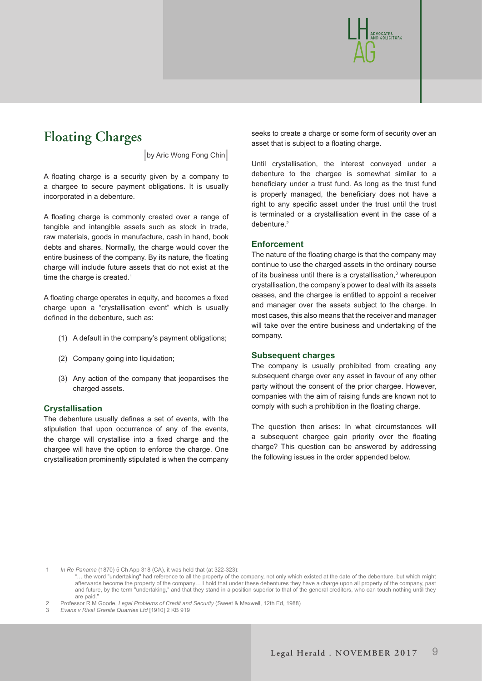

# **Floating Charges**

**|**by Aric Wong Fong Chin**|**

A floating charge is a security given by a company to a chargee to secure payment obligations. It is usually incorporated in a debenture.

A floating charge is commonly created over a range of tangible and intangible assets such as stock in trade, raw materials, goods in manufacture, cash in hand, book debts and shares. Normally, the charge would cover the entire business of the company. By its nature, the floating charge will include future assets that do not exist at the time the charge is created.<sup>1</sup>

A floating charge operates in equity, and becomes a fixed charge upon a "crystallisation event" which is usually defined in the debenture, such as:

- (1) A default in the company's payment obligations;
- (2) Company going into liquidation;
- (3) Any action of the company that jeopardises the charged assets.

# **Crystallisation**

The debenture usually defines a set of events, with the stipulation that upon occurrence of any of the events, the charge will crystallise into a fixed charge and the chargee will have the option to enforce the charge. One crystallisation prominently stipulated is when the company

seeks to create a charge or some form of security over an asset that is subject to a floating charge.

Until crystallisation, the interest conveyed under a debenture to the chargee is somewhat similar to a beneficiary under a trust fund. As long as the trust fund is properly managed, the beneficiary does not have a right to any specific asset under the trust until the trust is terminated or a crystallisation event in the case of a debenture.<sup>2</sup>

# **Enforcement**

The nature of the floating charge is that the company may continue to use the charged assets in the ordinary course of its business until there is a crystallisation, $3$  whereupon crystallisation, the company's power to deal with its assets ceases, and the chargee is entitled to appoint a receiver and manager over the assets subject to the charge. In most cases, this also means that the receiver and manager will take over the entire business and undertaking of the company.

#### **Subsequent charges**

The company is usually prohibited from creating any subsequent charge over any asset in favour of any other party without the consent of the prior chargee. However, companies with the aim of raising funds are known not to comply with such a prohibition in the floating charge.

The question then arises: In what circumstances will a subsequent chargee gain priority over the floating charge? This question can be answered by addressing the following issues in the order appended below.

1 *In Re Panama* (1870) 5 Ch App 318 (CA), it was held that (at 322-323):

.. the word "undertaking" had reference to all the property of the company, not only which existed at the date of the debenture, but which might afterwards become the property of the company… I hold that under these debentures they have a charge upon all property of the company, past and future, by the term "undertaking," and that they stand in a position superior to that of the general creditors, who can touch nothing until they are paid."

2 Professor R M Goode, *Legal Problems of Credit and Security* (Sweet & Maxwell, 12th Ed, 1988)

3 *Evans v Rival Granite Quarries Ltd* [1910] 2 KB 919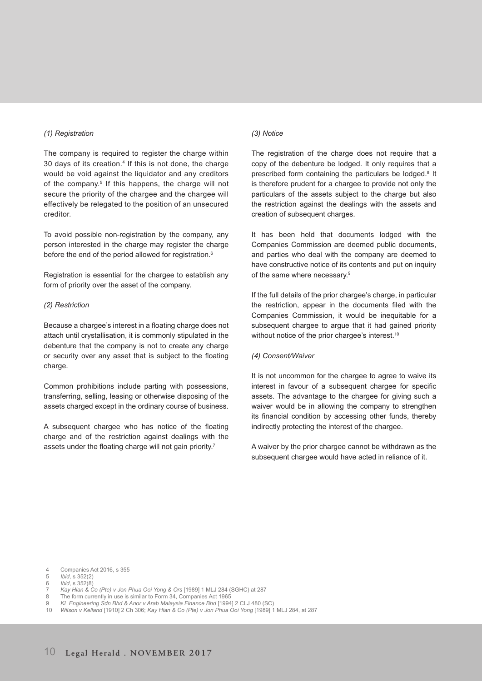#### *(1) Registration*

The company is required to register the charge within 30 days of its creation.4 If this is not done, the charge would be void against the liquidator and any creditors of the company.<sup>5</sup> If this happens, the charge will not secure the priority of the chargee and the chargee will effectively be relegated to the position of an unsecured creditor.

To avoid possible non-registration by the company, any person interested in the charge may register the charge before the end of the period allowed for registration.<sup>6</sup>

Registration is essential for the chargee to establish any form of priority over the asset of the company.

## *(2) Restriction*

Because a chargee's interest in a floating charge does not attach until crystallisation, it is commonly stipulated in the debenture that the company is not to create any charge or security over any asset that is subject to the floating charge.

Common prohibitions include parting with possessions, transferring, selling, leasing or otherwise disposing of the assets charged except in the ordinary course of business.

A subsequent chargee who has notice of the floating charge and of the restriction against dealings with the assets under the floating charge will not gain priority.<sup>7</sup>

#### *(3) Notice*

The registration of the charge does not require that a copy of the debenture be lodged. It only requires that a prescribed form containing the particulars be lodged.<sup>8</sup> It is therefore prudent for a chargee to provide not only the particulars of the assets subject to the charge but also the restriction against the dealings with the assets and creation of subsequent charges.

It has been held that documents lodged with the Companies Commission are deemed public documents, and parties who deal with the company are deemed to have constructive notice of its contents and put on inquiry of the same where necessary.9

If the full details of the prior chargee's charge, in particular the restriction, appear in the documents filed with the Companies Commission, it would be inequitable for a subsequent chargee to argue that it had gained priority without notice of the prior chargee's interest.<sup>10</sup>

#### *(4) Consent/Waiver*

It is not uncommon for the chargee to agree to waive its interest in favour of a subsequent chargee for specific assets. The advantage to the chargee for giving such a waiver would be in allowing the company to strengthen its financial condition by accessing other funds, thereby indirectly protecting the interest of the chargee.

A waiver by the prior chargee cannot be withdrawn as the subsequent chargee would have acted in reliance of it.

4 Companies Act 2016, s 355

- 7 *Kay Hian & Co (Pte) v Jon Phua Ooi Yong & Ors* [1989] 1 MLJ 284 (SGHC) at 287
- The form currently in use is similar to Form 34, Companies Act 1965
- 9 *KL Engineering Sdn Bhd & Anor v Arab Malaysia Finance Bhd* [1994] 2 CLJ 480 (SC)
- 10 *Wilson v Kelland* [1910] 2 Ch 306; *Kay Hian & Co (Pte) v Jon Phua Ooi Yong* [1989] 1 MLJ 284, at 287

<sup>5</sup> *Ibid*, s 352(2)

<sup>6</sup> *Ibid*, s 352(8)